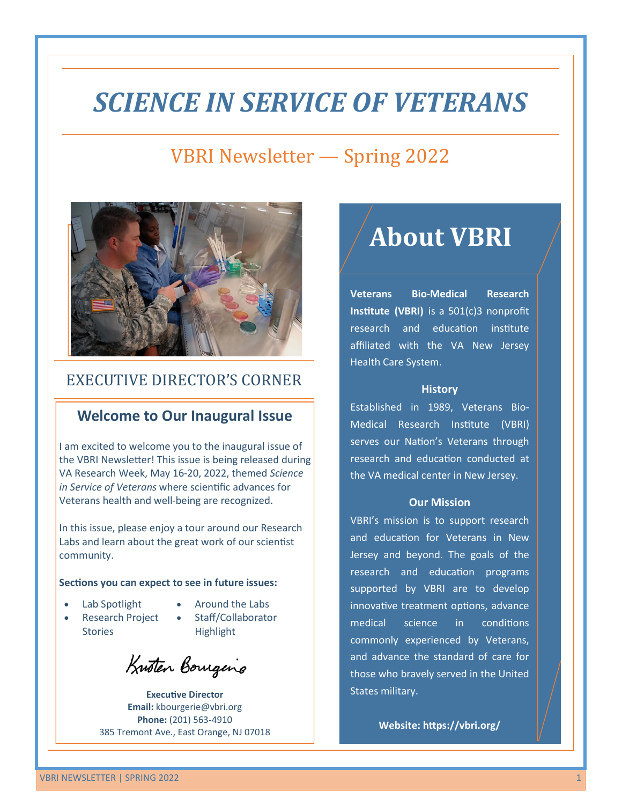# *SCIENCE IN SERVICE OF VETERANS*

### VBRI Newsletter — Spring 2022



### EXECUTIVE DIRECTOR'S CORNER

#### **Welcome to Our Inaugural Issue**

I am excited to welcome you to the inaugural issue of the VBRI Newsletter! This issue is being released during VA Research Week, May 16-20, 2022, themed *Science in Service of Veterans* where scientific advances for Veterans health and well-being are recognized.

In this issue, please enjoy a tour around our Research Labs and learn about the great work of our scientist community.

#### **Sections you can expect to see in future issues:**

- Lab Spotlight
- Around the Labs
- Research Project **Stories**
- Staff/Collaborator Highlight

Krusten Borugens

**Executive Director Email:** kbourgerie@vbri.org **Phone:** (201) 563-4910 385 Tremont Ave., East Orange, NJ 07018

# **About VBRI**

**Veterans Bio-Medical Research Institute (VBRI)** is a 501(c)3 nonprofit research and education institute affiliated with the VA New Jersey Health Care System.

#### **History**

Established in 1989, Veterans Bio-Medical Research Institute (VBRI) serves our Nation's Veterans through research and education conducted at the VA medical center in New Jersey.

#### **Our Mission**

VBRI's mission is to support research and education for Veterans in New Jersey and beyond. The goals of the research and education programs supported by VBRI are to develop innovative treatment options, advance medical science in conditions commonly experienced by Veterans, and advance the standard of care for those who bravely served in the United States military.

**Website:<https://vbri.org/>**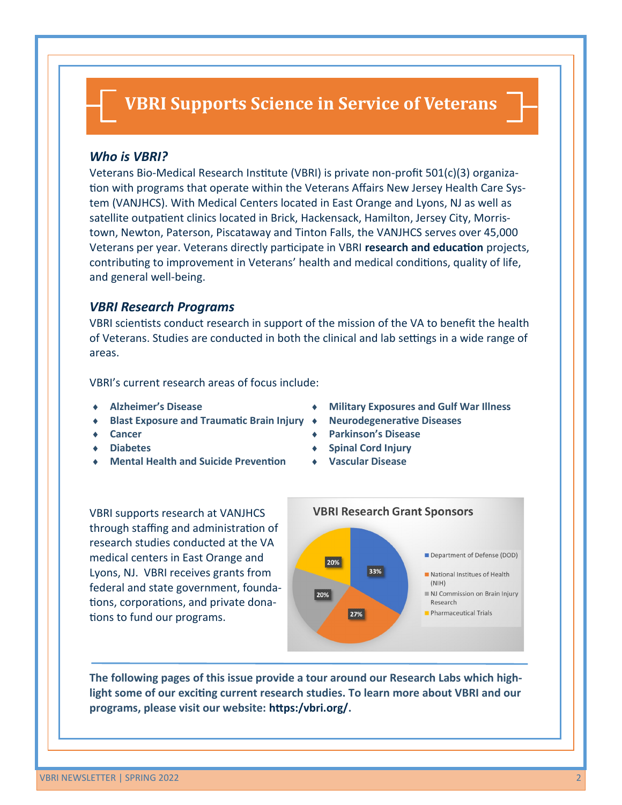### **VBRI Supports Science in Service of Veterans**

#### *Who is VBRI?*

Veterans Bio-Medical Research Institute (VBRI) is private non-profit 501(c)(3) organization with programs that operate within the Veterans Affairs New Jersey Health Care System (VANJHCS). With Medical Centers located in East Orange and Lyons, NJ as well as satellite outpatient clinics located in Brick, Hackensack, Hamilton, Jersey City, Morristown, Newton, Paterson, Piscataway and Tinton Falls, the VANJHCS serves over 45,000 Veterans per year. Veterans directly participate in VBRI **research and education** projects, contributing to improvement in Veterans' health and medical conditions, quality of life, and general well-being.

#### *VBRI Research Programs*

VBRI scientists conduct research in support of the mission of the VA to benefit the health of Veterans. Studies are conducted in both the clinical and lab settings in a wide range of areas.

VBRI's current research areas of focus include:

- **Alzheimer's Disease**
- **Blast Exposure and Traumatic Brain Injury**
- **Cancer**
- **Diabetes**
- **Mental Health and Suicide Prevention**
- **Military Exposures and Gulf War Illness**
- **Neurodegenerative Diseases**
- **Parkinson's Disease**
- **Spinal Cord Injury**
- **Vascular Disease**

VBRI supports research at VANJHCS through staffing and administration of research studies conducted at the VA medical centers in East Orange and Lyons, NJ. VBRI receives grants from federal and state government, foundations, corporations, and private donations to fund our programs.



**The following pages of this issue provide a tour around our Research Labs which highlight some of our exciting current research studies. To learn more about VBRI and our programs, please visit our website: [https:/vbri.org/.](https://vbri.org/)**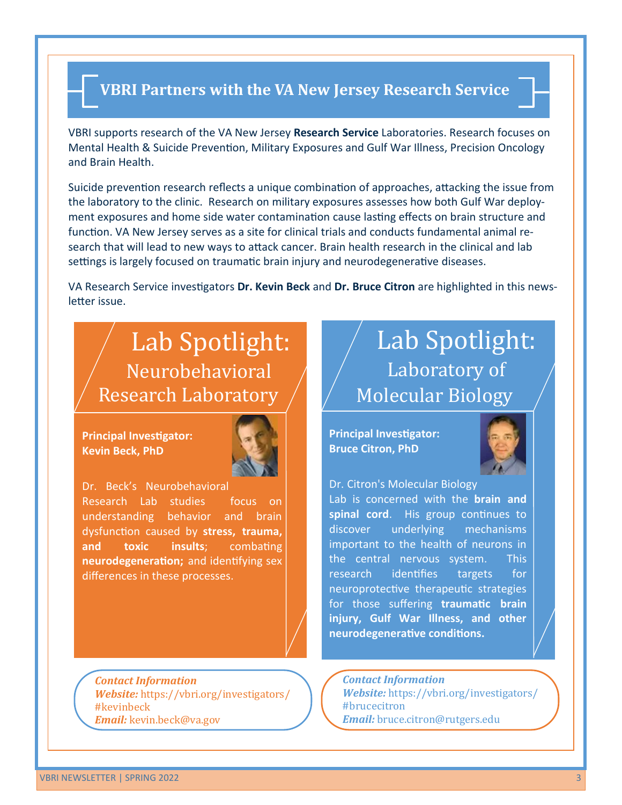### **VBRI Partners with the VA New Jersey Research Service**

VBRI supports research of the VA New Jersey **Research Service** Laboratories. Research focuses on Mental Health & Suicide Prevention, Military Exposures and Gulf War Illness, Precision Oncology and Brain Health.

Suicide prevention research reflects a unique combination of approaches, attacking the issue from the laboratory to the clinic. Research on military exposures assesses how both Gulf War deployment exposures and home side water contamination cause lasting effects on brain structure and function. VA New Jersey serves as a site for clinical trials and conducts fundamental animal research that will lead to new ways to attack cancer. Brain health research in the clinical and lab settings is largely focused on traumatic brain injury and neurodegenerative diseases.

VA Research Service investigators **Dr. Kevin Beck** and **Dr. Bruce Citron** are highlighted in this newsletter issue.

### Lab Spotlight: Neurobehavioral Research Laboratory

**Principal Investigator: Kevin Beck, PhD**



Dr. Beck's Neurobehavioral Research Lab studies focus on understanding behavior and brain dysfunction caused by **stress, trauma, and toxic insults**; combating **neurodegeneration;** and identifying sex differences in these processes.

*Contact Information Website:* [https://vbri.org/investigators/](https://vbri.org/investigators/#kevinbeck) [#kevinbeck](https://vbri.org/investigators/#kevinbeck) *Email:* kevin.beck@va.gov

# Lab Spotlight: Laboratory of Molecular Biology

**Principal Investigator: Bruce Citron, PhD**



Dr. Citron's Molecular Biology Lab is concerned with the **brain and**  spinal cord. His group continues to discover underlying mechanisms important to the health of neurons in the central nervous system. This research identifies targets for neuroprotective therapeutic strategies for those suffering **traumatic brain injury, Gulf War Illness, and other neurodegenerative conditions.**

*Contact Information Website:* [https://vbri.org/investigators/](https://vbri.org/investigators/#brucecitron) [#brucecitron](https://vbri.org/investigators/#brucecitron) *Email:* bruce.citron@rutgers.edu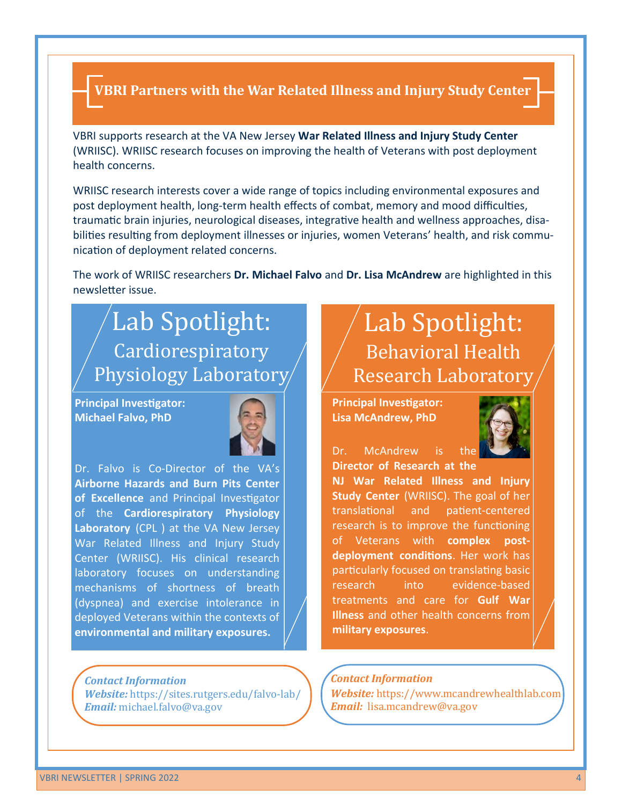### **VBRI Partners with the War Related Illness and Injury Study Center**

VBRI supports research at the VA New Jersey **War Related Illness and Injury Study Center**  (WRIISC). WRIISC research focuses on improving the health of Veterans with post deployment health concerns.

WRIISC research interests cover a wide range of topics including environmental exposures and post deployment health, long-term health effects of combat, memory and mood difficulties, traumatic brain injuries, neurological diseases, integrative health and wellness approaches, disabilities resulting from deployment illnesses or injuries, women Veterans' health, and risk communication of deployment related concerns.

The work of WRIISC researchers **Dr. Michael Falvo** and **Dr. Lisa McAndrew** are highlighted in this newsletter issue.

# Lab Spotlight: Cardiorespiratory Physiology Laboratory

**Principal Investigator: Michael Falvo, PhD**



Dr. Falvo is Co-Director of the VA's **Airborne Hazards and Burn Pits Center of Excellence** and Principal Investigator of the **Cardiorespiratory Physiology Laboratory** (CPL ) at the VA New Jersey War Related Illness and Injury Study Center (WRIISC). His clinical research laboratory focuses on understanding mechanisms of shortness of breath (dyspnea) and exercise intolerance in deployed Veterans within the contexts of **environmental and military exposures.**

#### *Contact Information Website:* https://sites.rutgers.edu/falvo-lab/ *Email:* michael.falvo@va.gov

# Lab Spotlight: Behavioral Health Research Laboratory

**Principal Investigator: Lisa McAndrew, PhD**



Dr. McAndrew is **Director of Research at the** 

**NJ War Related Illness and Injury Study Center** (WRIISC). The goal of her translational and patient-centered research is to improve the functioning of Veterans with **complex postdeployment conditions**. Her work has particularly focused on translating basic research into evidence-based treatments and care for **Gulf War Illness** and other health concerns from **military exposures**.

#### *Contact Information*

*Website:* https://www.mcandrewhealthlab.com *Email:* lisa.mcandrew@va.gov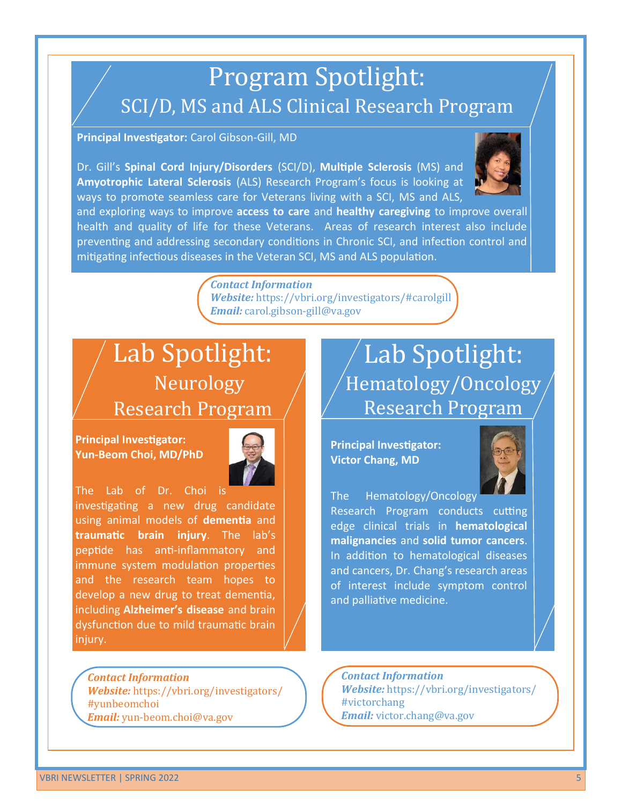# Program Spotlight: SCI/D, MS and ALS Clinical Research Program

**Principal Investigator:** Carol Gibson-Gill, MD

Dr. Gill's **Spinal Cord Injury/Disorders** (SCI/D), **Multiple Sclerosis** (MS) and **Amyotrophic Lateral Sclerosis** (ALS) Research Program's focus is looking at ways to promote seamless care for Veterans living with a SCI, MS and ALS,



and exploring ways to improve **access to care** and **healthy caregiving** to improve overall health and quality of life for these Veterans. Areas of research interest also include preventing and addressing secondary conditions in Chronic SCI, and infection control and mitigating infectious diseases in the Veteran SCI, MS and ALS population.

> *Contact Information Website:* <https://vbri.org/investigators/#carolgill> *Email:* carol.gibson-gill@va.gov

## Lab Spotlight: Neurology Research Program

**Principal Investigator: Yun-Beom Choi, MD/PhD**



The Lab of Dr. Choi is investigating a new drug candidate using animal models of **dementia** and **traumatic brain injury**. The lab's peptide has anti-inflammatory and immune system modulation properties and the research team hopes to develop a new drug to treat dementia, including **Alzheimer's disease** and brain dysfunction due to mild traumatic brain injury.

*Contact Information Website:* [https://vbri.org/investigators/](https://vbri.org/investigators/#yunbeomchoi) [#yunbeomchoi](https://vbri.org/investigators/#yunbeomchoi) *Email:* yun-beom.choi@va.gov

## Lab Spotlight: Hematology/Oncology Research Program

**Principal Investigator: Victor Chang, MD**



The Hematology/Oncology Research Program conducts cutting edge clinical trials in **hematological malignancies** and **solid tumor cancers**. In addition to hematological diseases and cancers, Dr. Chang's research areas of interest include symptom control and palliative medicine.

*Contact Information Website:* [https://vbri.org/investigators/](https://vbri.org/investigators/#victorchang) [#victorchang](https://vbri.org/investigators/#victorchang) *Email:* victor.chang@va.gov